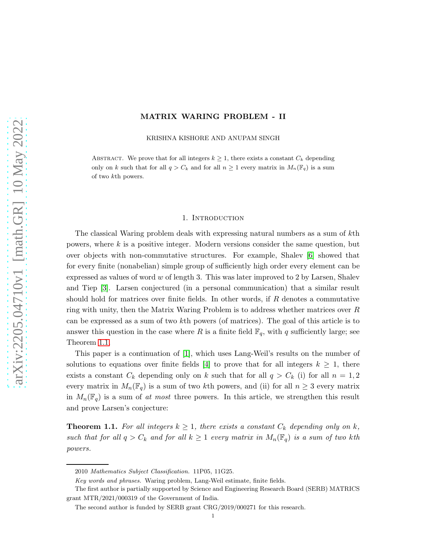# MATRIX WARING PROBLEM - II

KRISHNA KISHORE AND ANUPAM SINGH

ABSTRACT. We prove that for all integers  $k \geq 1$ , there exists a constant  $C_k$  depending only on k such that for all  $q > C_k$  and for all  $n \geq 1$  every matrix in  $M_n(\mathbb{F}_q)$  is a sum of two kth powers.

#### 1. Introduction

The classical Waring problem deals with expressing natural numbers as a sum of kth powers, where  $k$  is a positive integer. Modern versions consider the same question, but over objects with non-commutative structures. For example, Shalev [\[6\]](#page-14-0) showed that for every finite (nonabelian) simple group of sufficiently high order every element can be expressed as values of word w of length 3. This was later improved to 2 by Larsen, Shalev and Tiep [\[3\]](#page-14-1). Larsen conjectured (in a personal communication) that a similar result should hold for matrices over finite fields. In other words, if  $R$  denotes a commutative ring with unity, then the Matrix Waring Problem is to address whether matrices over R can be expressed as a sum of two kth powers (of matrices). The goal of this article is to answer this question in the case where R is a finite field  $\mathbb{F}_q$ , with q sufficiently large; see Theorem [1.1.](#page-0-0)

This paper is a continuation of [\[1\]](#page-14-2), which uses Lang-Weil's results on the number of solutions to equations over finite fields [\[4\]](#page-14-3) to prove that for all integers  $k \geq 1$ , there exists a constant  $C_k$  depending only on k such that for all  $q > C_k$  (i) for all  $n = 1, 2$ every matrix in  $M_n(\mathbb{F}_q)$  is a sum of two kth powers, and (ii) for all  $n \geq 3$  every matrix in  $M_n(\mathbb{F}_q)$  is a sum of at most three powers. In this article, we strengthen this result and prove Larsen's conjecture:

<span id="page-0-0"></span>**Theorem 1.1.** For all integers  $k \geq 1$ , there exists a constant  $C_k$  depending only on k, such that for all  $q > C_k$  and for all  $k \geq 1$  every matrix in  $M_n(\mathbb{F}_q)$  is a sum of two kth powers.

<sup>2010</sup> Mathematics Subject Classification. 11P05, 11G25.

Key words and phrases. Waring problem, Lang-Weil estimate, finite fields.

The first author is partially supported by Science and Engineering Research Board (SERB) MATRICS grant MTR/2021/000319 of the Government of India.

The second author is funded by SERB grant CRG/2019/000271 for this research.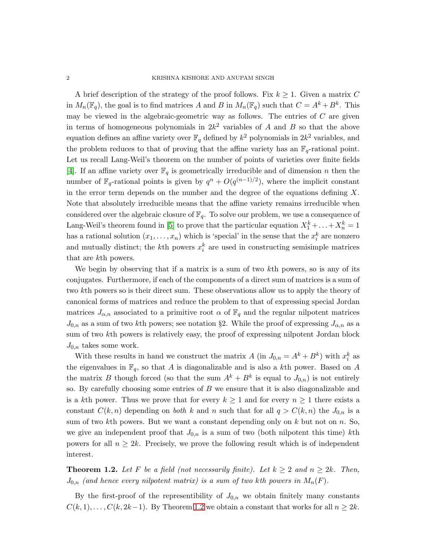A brief description of the strategy of the proof follows. Fix  $k \geq 1$ . Given a matrix C in  $M_n(\mathbb{F}_q)$ , the goal is to find matrices A and B in  $M_n(\mathbb{F}_q)$  such that  $C = A^k + B^k$ . This may be viewed in the algebraic-geometric way as follows. The entries of  $C$  are given in terms of homogeneous polynomials in  $2k^2$  variables of A and B so that the above equation defines an affine variety over  $\mathbb{F}_q$  defined by  $k^2$  polynomials in  $2k^2$  variables, and the problem reduces to that of proving that the affine variety has an  $\mathbb{F}_q$ -rational point. Let us recall Lang-Weil's theorem on the number of points of varieties over finite fields [\[4\]](#page-14-3). If an affine variety over  $\mathbb{F}_q$  is geometrically irreducible and of dimension n then the number of  $\mathbb{F}_q$ -rational points is given by  $q^n + O(q^{(n-1)/2})$ , where the implicit constant in the error term depends on the number and the degree of the equations defining  $X$ . Note that absolutely irreducible means that the affine variety remains irreducible when considered over the algebraic closure of  $\mathbb{F}_q$ . To solve our problem, we use a consequence of Lang-Weil's theorem found in [\[5\]](#page-14-4) to prove that the particular equation  $X_1^k + \ldots + X_n^k = 1$ has a rational solution  $(x_1, \ldots, x_n)$  which is 'special' in the sense that the  $x_i^k$  are nonzero and mutually distinct; the k<sup>th</sup> powers  $x_i^k$  are used in constructing semisimple matrices that are kth powers.

We begin by observing that if a matrix is a sum of two kth powers, so is any of its conjugates. Furthermore, if each of the components of a direct sum of matrices is a sum of two kth powers so is their direct sum. These observations allow us to apply the theory of canonical forms of matrices and reduce the problem to that of expressing special Jordan matrices  $J_{\alpha,n}$  associated to a primitive root  $\alpha$  of  $\mathbb{F}_q$  and the regular nilpotent matrices  $J_{0,n}$  as a sum of two kth powers; see notation §2. While the proof of expressing  $J_{\alpha,n}$  as a sum of two kth powers is relatively easy, the proof of expressing nilpotent Jordan block  $J_{0,n}$  takes some work.

With these results in hand we construct the matrix A (in  $J_{0,n} = A^k + B^k$ ) with  $x_i^k$  as the eigenvalues in  $\mathbb{F}_q$ , so that A is diagonalizable and is also a kth power. Based on A the matrix B though forced (so that the sum  $A^k + B^k$  is equal to  $J_{0,n}$ ) is not entirely so. By carefully choosing some entries of  $B$  we ensure that it is also diagonalizable and is a kth power. Thus we prove that for every  $k \geq 1$  and for every  $n \geq 1$  there exists a constant  $C(k, n)$  depending on *both* k and n such that for all  $q > C(k, n)$  the  $J_{0,n}$  is a sum of two  $k$ th powers. But we want a constant depending only on  $k$  but not on  $n$ . So, we give an independent proof that  $J_{0,n}$  is a sum of two (both nilpotent this time) kth powers for all  $n \geq 2k$ . Precisely, we prove the following result which is of independent interest.

<span id="page-1-0"></span>**Theorem 1.2.** Let F be a field (not necessarily finite). Let  $k \geq 2$  and  $n \geq 2k$ . Then,  $J_{0,n}$  (and hence every nilpotent matrix) is a sum of two kth powers in  $M_n(F)$ .

By the first-proof of the representibility of  $J_{0,n}$  we obtain finitely many constants  $C(k, 1), \ldots, C(k, 2k-1)$ . By Theorem [1.2](#page-1-0) we obtain a constant that works for all  $n \geq 2k$ .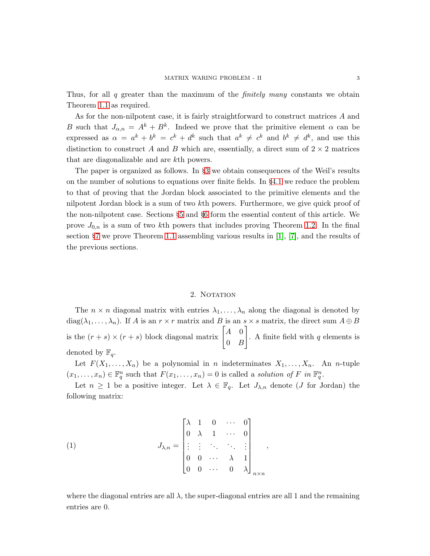Thus, for all q greater than the maximum of the *finitely many* constants we obtain Theorem [1.1](#page-0-0) as required.

As for the non-nilpotent case, it is fairly straightforward to construct matrices A and B such that  $J_{\alpha,n} = A^k + B^k$ . Indeed we prove that the primitive element  $\alpha$  can be expressed as  $\alpha = a^k + b^k = c^k + d^k$  such that  $a^k \neq c^k$  and  $b^k \neq d^k$ , and use this distinction to construct A and B which are, essentially, a direct sum of  $2 \times 2$  matrices that are diagonalizable and are kth powers.

The paper is organized as follows. In §[3](#page-3-0) we obtain consequences of the Weil's results on the number of solutions to equations over finite fields. In §[4.1](#page-6-0) we reduce the problem to that of proving that the Jordan block associated to the primitive elements and the nilpotent Jordan block is a sum of two kth powers. Furthermore, we give quick proof of the non-nilpotent case. Sections §[5](#page-8-0) and §[6](#page-11-0) form the essential content of this article. We prove  $J_{0,n}$  is a sum of two kth powers that includes proving Theorem [1.2.](#page-1-0) In the final section §[7](#page-13-0) we prove Theorem [1.1](#page-0-0) assembling various results in [\[1\]](#page-14-2), [\[7\]](#page-14-5), and the results of the previous sections.

## 2. NOTATION

The  $n \times n$  diagonal matrix with entries  $\lambda_1, \ldots, \lambda_n$  along the diagonal is denoted by  $diag(\lambda_1, \ldots, \lambda_n)$ . If A is an  $r \times r$  matrix and B is an  $s \times s$  matrix, the direct sum  $A \oplus B$ is the  $(r + s) \times (r + s)$  block diagonal matrix  $\begin{bmatrix} A & 0 \\ 0 & B \end{bmatrix}$  $0 \quad B$ 1 . A finite field with  $q$  elements is denoted by  $\mathbb{F}_q$ .

Let  $F(X_1, \ldots, X_n)$  be a polynomial in n indeterminates  $X_1, \ldots, X_n$ . An n-tuple  $(x_1, \ldots, x_n) \in \mathbb{F}_q^n$  such that  $F(x_1, \ldots, x_n) = 0$  is called a solution of F in  $\mathbb{F}_q^n$ .

Let  $n \geq 1$  be a positive integer. Let  $\lambda \in \mathbb{F}_q$ . Let  $J_{\lambda,n}$  denote (*J* for Jordan) the following matrix:

(1) 
$$
J_{\lambda,n} = \begin{bmatrix} \lambda & 1 & 0 & \cdots & 0 \\ 0 & \lambda & 1 & \cdots & 0 \\ \vdots & \vdots & \ddots & \ddots & \vdots \\ 0 & 0 & \cdots & \lambda & 1 \\ 0 & 0 & \cdots & 0 & \lambda \end{bmatrix}_{n \times n},
$$

where the diagonal entries are all  $\lambda$ , the super-diagonal entries are all 1 and the remaining entries are 0.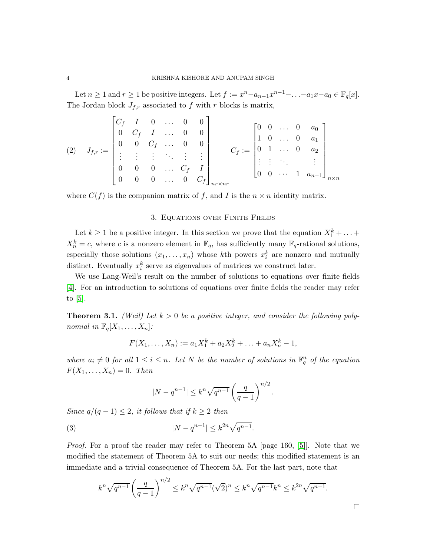Let  $n \geq 1$  and  $r \geq 1$  be positive integers. Let  $f := x^n - a_{n-1}x^{n-1} - \ldots - a_1x - a_0 \in \mathbb{F}_q[x]$ . The Jordan block  $J_{f,r}$  associated to f with r blocks is matrix,

$$
(2) \quad J_{f,r} := \begin{bmatrix} C_f & I & 0 & \dots & 0 & 0 \\ 0 & C_f & I & \dots & 0 & 0 \\ 0 & 0 & C_f & \dots & 0 & 0 \\ \vdots & \vdots & \vdots & \ddots & \vdots & \vdots \\ 0 & 0 & 0 & \dots & C_f & I \\ 0 & 0 & 0 & \dots & 0 & C_f \end{bmatrix}_{n \times n r} C_f := \begin{bmatrix} 0 & 0 & \dots & 0 & a_0 \\ 1 & 0 & \dots & 0 & a_1 \\ 0 & 1 & \dots & 0 & a_2 \\ \vdots & \vdots & \ddots & \vdots & \vdots \\ 0 & 0 & \dots & 1 & a_{n-1} \end{bmatrix}_{n \times n}
$$

<span id="page-3-0"></span>where  $C(f)$  is the companion matrix of f, and I is the  $n \times n$  identity matrix.

### 3. Equations over Finite Fields

Let  $k \geq 1$  be a positive integer. In this section we prove that the equation  $X_1^k + \ldots$  $X_n^k = c$ , where c is a nonzero element in  $\mathbb{F}_q$ , has sufficiently many  $\mathbb{F}_q$ -rational solutions, especially those solutions  $(x_1, \ldots, x_n)$  whose kth powers  $x_i^k$  are nonzero and mutually distinct. Eventually  $x_i^k$  serve as eigenvalues of matrices we construct later.

We use Lang-Weil's result on the number of solutions to equations over finite fields [\[4\]](#page-14-3). For an introduction to solutions of equations over finite fields the reader may refer to [\[5\]](#page-14-4).

<span id="page-3-1"></span>**Theorem 3.1.** (Weil) Let  $k > 0$  be a positive integer, and consider the following polynomial in  $\mathbb{F}_q[X_1, \ldots, X_n]$ :

$$
F(X_1, \ldots, X_n) := a_1 X_1^k + a_2 X_2^k + \ldots + a_n X_n^k - 1,
$$

where  $a_i \neq 0$  for all  $1 \leq i \leq n$ . Let N be the number of solutions in  $\mathbb{F}_q^n$  of the equation  $F(X_1,\ldots,X_n)=0.$  Then

$$
|N - q^{n-1}| \le k^n \sqrt{q^{n-1}} \left(\frac{q}{q-1}\right)^{n/2}.
$$

Since  $q/(q-1) \leq 2$ , it follows that if  $k \geq 2$  then

(3) 
$$
|N - q^{n-1}| \leq k^{2n} \sqrt{q^{n-1}}.
$$

Proof. For a proof the reader may refer to Theorem 5A [page 160, [\[5\]](#page-14-4)]. Note that we modified the statement of Theorem 5A to suit our needs; this modified statement is an immediate and a trivial consequence of Theorem 5A. For the last part, note that

$$
k^{n} \sqrt{q^{n-1}} \left(\frac{q}{q-1}\right)^{n/2} \leq k^{n} \sqrt{q^{n-1}} (\sqrt{2})^{n} \leq k^{n} \sqrt{q^{n-1}} k^{n} \leq k^{2n} \sqrt{q^{n-1}}.
$$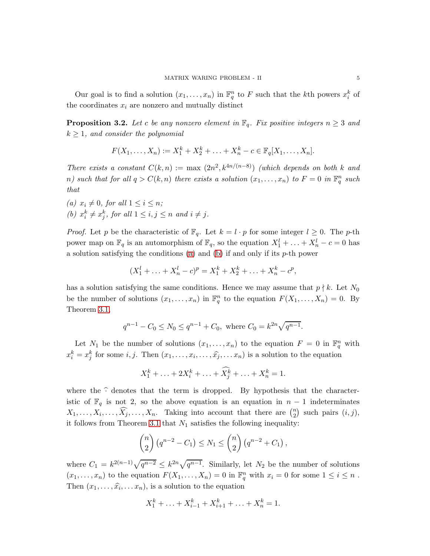Our goal is to find a solution  $(x_1, \ldots, x_n)$  in  $\mathbb{F}_q^n$  to F such that the kth powers  $x_i^k$  of the coordinates  $x_i$  are nonzero and mutually distinct

<span id="page-4-2"></span>**Proposition 3.2.** Let c be any nonzero element in  $\mathbb{F}_q$ . Fix positive integers  $n \geq 3$  and  $k \geq 1$ , and consider the polynomial

$$
F(X_1, ..., X_n) := X_1^k + X_2^k + ... + X_n^k - c \in \mathbb{F}_q[X_1, ..., X_n].
$$

There exists a constant  $C(k, n) := \max (2n^2, k^{4n/(n-8)})$  (which depends on both k and n) such that for all  $q > C(k, n)$  there exists a solution  $(x_1, \ldots, x_n)$  to  $F = 0$  in  $\mathbb{F}_q^n$  such that

<span id="page-4-1"></span><span id="page-4-0"></span>(a)  $x_i \neq 0$ , for all  $1 \leq i \leq n$ ; (b)  $x_i^k \neq x_j^k$ , for all  $1 \leq i, j \leq n$  and  $i \neq j$ .

*Proof.* Let p be the characteristic of  $\mathbb{F}_q$ . Let  $k = l \cdot p$  for some integer  $l \geq 0$ . The p-th power map on  $\mathbb{F}_q$  is an automorphism of  $\mathbb{F}_q$ , so the equation  $X_1^l + \ldots + X_n^l - c = 0$  has a solution satisfying the conditions [\(a\)](#page-4-0) and [\(b\)](#page-4-1) if and only if its  $p$ -th power

$$
(X_1^l + \ldots + X_n^l - c)^p = X_1^k + X_2^k + \ldots + X_n^k - c^p,
$$

has a solution satisfying the same conditions. Hence we may assume that  $p \nmid k$ . Let  $N_0$ be the number of solutions  $(x_1, \ldots, x_n)$  in  $\mathbb{F}_q^n$  to the equation  $F(X_1, \ldots, X_n) = 0$ . By Theorem [3.1,](#page-3-1)

$$
q^{n-1} - C_0 \le N_0 \le q^{n-1} + C_0, \text{ where } C_0 = k^{2n} \sqrt{q^{n-1}}.
$$

Let  $N_1$  be the number of solutions  $(x_1, \ldots, x_n)$  to the equation  $F = 0$  in  $\mathbb{F}_q^n$  with  $x_i^k = x_j^k$  for some  $i, j$ . Then  $(x_1, \ldots, x_i, \ldots, \widehat{x}_j, \ldots, x_n)$  is a solution to the equation

$$
X_1^k + \ldots + 2X_i^k + \ldots + \widehat{X_j^k} + \ldots + X_n^k = 1.
$$

where the  $\hat{\cdot}$  denotes that the term is dropped. By hypothesis that the characteristic of  $\mathbb{F}_q$  is not 2, so the above equation is an equation in  $n-1$  indeterminates  $X_1, \ldots, X_i, \ldots, \widehat{X}_j, \ldots, X_n$ . Taking into account that there are  $\binom{n}{2}$  $n \choose 2$  such pairs  $(i, j)$ , it follows from Theorem [3.1](#page-3-1) that  $N_1$  satisfies the following inequality:

$$
{n \choose 2} (q^{n-2} - C_1) \le N_1 \le {n \choose 2} (q^{n-2} + C_1),
$$

where  $C_1 = k^{2(n-1)}\sqrt{q^{n-2}} \leq k^{2n}\sqrt{q^{n-1}}$ . Similarly, let  $N_2$  be the number of solutions  $(x_1, \ldots, x_n)$  to the equation  $F(X_1, \ldots, X_n) = 0$  in  $\mathbb{F}_q^n$  with  $x_i = 0$  for some  $1 \le i \le n$ . Then  $(x_1, \ldots, \hat{x_i}, \ldots, x_n)$ , is a solution to the equation

$$
X_1^k + \ldots + X_{i-1}^k + X_{i+1}^k + \ldots + X_n^k = 1.
$$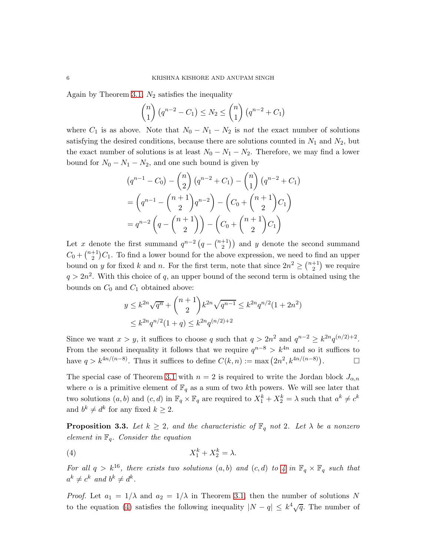Again by Theorem [3.1,](#page-3-1)  $N_2$  satisfies the inequality

$$
\binom{n}{1} (q^{n-2} - C_1) \le N_2 \le \binom{n}{1} (q^{n-2} + C_1)
$$

where  $C_1$  is as above. Note that  $N_0 - N_1 - N_2$  is not the exact number of solutions satisfying the desired conditions, because there are solutions counted in  $N_1$  and  $N_2$ , but the exact number of solutions is at least  $N_0 - N_1 - N_2$ . Therefore, we may find a lower bound for  $N_0 - N_1 - N_2$ , and one such bound is given by

$$
(q^{n-1} - C_0) - {n \choose 2} (q^{n-2} + C_1) - {n \choose 1} (q^{n-2} + C_1)
$$
  
= 
$$
(q^{n-1} - {n+1 \choose 2} q^{n-2}) - (C_0 + {n+1 \choose 2} C_1)
$$
  
= 
$$
q^{n-2} (q - {n+1 \choose 2}) - (C_0 + {n+1 \choose 2} C_1)
$$

Let x denote the first summand  $q^{n-2} (q - \binom{n+1}{2})$  $\binom{+1}{2}$  and y denote the second summand  $C_0 + \binom{n+1}{2}$  $2^{+1}_{2}$ ) $C_1$ . To find a lower bound for the above expression, we need to find an upper bound on y for fixed k and n. For the first term, note that since  $2n^2 \geq \binom{n+1}{2}$  $\binom{+1}{2}$  we require  $q > 2n^2$ . With this choice of q, an upper bound of the second term is obtained using the bounds on  $C_0$  and  $C_1$  obtained above:

$$
y \le k^{2n} \sqrt{q^n} + {n+1 \choose 2} k^{2n} \sqrt{q^{n-1}} \le k^{2n} q^{n/2} (1+2n^2)
$$
  

$$
\le k^{2n} q^{n/2} (1+q) \le k^{2n} q^{(n/2)+2}
$$

Since we want  $x > y$ , it suffices to choose q such that  $q > 2n^2$  and  $q^{n-2} \geq k^{2n}q^{(n/2)+2}$ . From the second inequality it follows that we require  $q^{n-8} > k^{4n}$  and so it suffices to have  $q > k^{4n/(n-8)}$ . Thus it suffices to define  $C(k, n) := \max(2n^2, k^{4n/(n-8)})$  $\Box$ 

The special case of Theorem [3.1](#page-3-1) with  $n = 2$  is required to write the Jordan block  $J_{\alpha,n}$ where  $\alpha$  is a primitive element of  $\mathbb{F}_q$  as a sum of two kth powers. We will see later that two solutions  $(a, b)$  and  $(c, d)$  in  $\mathbb{F}_q \times \mathbb{F}_q$  are required to  $X_1^k + X_2^k = \lambda$  such that  $a^k \neq c^k$ and  $b^k \neq d^k$  for any fixed  $k \geq 2$ .

<span id="page-5-1"></span>**Proposition 3.3.** Let  $k \geq 2$ , and the characteristic of  $\mathbb{F}_q$  not 2. Let  $\lambda$  be a nonzero element in  $\mathbb{F}_q$ . Consider the equation

<span id="page-5-0"></span>
$$
(4) \t\t X_1^k + X_2^k = \lambda.
$$

For all  $q > k^{16}$ , there exists two solutions  $(a, b)$  and  $(c, d)$  to [4](#page-5-0) in  $\mathbb{F}_q \times \mathbb{F}_q$  such that  $a^k \neq c^k$  and  $b^k \neq d^k$ .

*Proof.* Let  $a_1 = 1/\lambda$  and  $a_2 = 1/\lambda$  in Theorem [3.1,](#page-3-1) then the number of solutions N to the equation [\(4\)](#page-5-0) satisfies the following inequality  $|N - q| \leq k^4 \sqrt{q}$ . The number of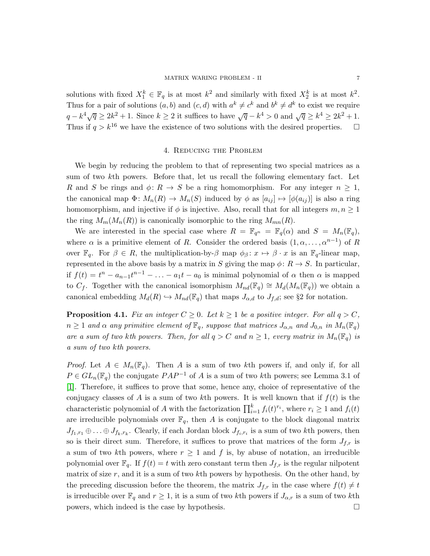solutions with fixed  $X_1^k \in \mathbb{F}_q$  is at most  $k^2$  and similarly with fixed  $X_2^k$  is at most  $k^2$ . Thus for a pair of solutions  $(a, b)$  and  $(c, d)$  with  $a^k \neq c^k$  and  $b^k \neq d^k$  to exist we require  $q - k^4 \sqrt{q} \ge 2k^2 + 1$ . Since  $k \ge 2$  it suffices to have  $\sqrt{q} - k^4 > 0$  and  $\sqrt{q} \ge k^4 \ge 2k^2 + 1$ . Thus if  $q > k^{16}$  we have the existence of two solutions with the desired properties.  $\Box$ 

## 4. Reducing the Problem

We begin by reducing the problem to that of representing two special matrices as a sum of two kth powers. Before that, let us recall the following elementary fact. Let R and S be rings and  $\phi: R \to S$  be a ring homomorphism. For any integer  $n \geq 1$ , the canonical map  $\Phi: M_n(R) \to M_n(S)$  induced by  $\phi$  as  $[a_{ij}] \mapsto [\phi(a_{ij})]$  is also a ring homomorphism, and injective if  $\phi$  is injective. Also, recall that for all integers  $m, n \geq 1$ the ring  $M_m(M_n(R))$  is canonically isomorphic to the ring  $M_{mn}(R)$ .

We are interested in the special case where  $R = \mathbb{F}_{q^n} = \mathbb{F}_q(\alpha)$  and  $S = M_n(\mathbb{F}_q)$ , where  $\alpha$  is a primitive element of R. Consider the ordered basis  $(1, \alpha, \ldots, \alpha^{n-1})$  of R over  $\mathbb{F}_q$ . For  $\beta \in R$ , the multiplication-by- $\beta$  map  $\phi_{\beta} : x \mapsto \beta \cdot x$  is an  $\mathbb{F}_q$ -linear map, represented in the above basis by a matrix in S giving the map  $\phi: R \to S$ . In particular, if  $f(t) = t^n - a_{n-1}t^{n-1} - \ldots - a_1t - a_0$  is minimal polynomial of  $\alpha$  then  $\alpha$  is mapped to C<sub>f</sub>. Together with the canonical isomorphism  $M_{nd}(\mathbb{F}_q) \cong M_d(M_n(\mathbb{F}_q))$  we obtain a canonical embedding  $M_d(R) \hookrightarrow M_{nd}(\mathbb{F}_q)$  that maps  $J_{\alpha,d}$  to  $J_{f,d}$ ; see §2 for notation.

<span id="page-6-0"></span>**Proposition 4.1.** Fix an integer  $C \geq 0$ . Let  $k \geq 1$  be a positive integer. For all  $q > C$ ,  $n \geq 1$  and  $\alpha$  any primitive element of  $\mathbb{F}_q$ , suppose that matrices  $J_{\alpha,n}$  and  $J_{0,n}$  in  $M_n(\mathbb{F}_q)$ are a sum of two kth powers. Then, for all  $q > C$  and  $n \geq 1$ , every matrix in  $M_n(\mathbb{F}_q)$  is a sum of two kth powers.

*Proof.* Let  $A \in M_n(\mathbb{F}_q)$ . Then A is a sum of two kth powers if, and only if, for all  $P \in GL_n(\mathbb{F}_q)$  the conjugate  $PAP^{-1}$  of A is a sum of two kth powers; see Lemma 3.1 of [\[1\]](#page-14-2). Therefore, it suffices to prove that some, hence any, choice of representative of the conjugacy classes of A is a sum of two kth powers. It is well known that if  $f(t)$  is the characteristic polynomial of A with the factorization  $\prod_{i=1}^{k} f_i(t)^{r_i}$ , where  $r_i \geq 1$  and  $f_i(t)$ are irreducible polynomials over  $\mathbb{F}_q$ , then A is conjugate to the block diagonal matrix  $J_{f_1,r_1} \oplus \ldots \oplus J_{f_k,r_k}$ . Clearly, if each Jordan block  $J_{f_i,r_i}$  is a sum of two kth powers, then so is their direct sum. Therefore, it suffices to prove that matrices of the form  $J_{f,r}$  is a sum of two kth powers, where  $r \geq 1$  and f is, by abuse of notation, an irreducible polynomial over  $\mathbb{F}_q$ . If  $f(t) = t$  with zero constant term then  $J_{f,r}$  is the regular nilpotent matrix of size  $r$ , and it is a sum of two kth powers by hypothesis. On the other hand, by the preceding discussion before the theorem, the matrix  $J_{f,r}$  in the case where  $f(t) \neq t$ is irreducible over  $\mathbb{F}_q$  and  $r \geq 1$ , it is a sum of two kth powers if  $J_{\alpha,r}$  is a sum of two kth powers, which indeed is the case by hypothesis.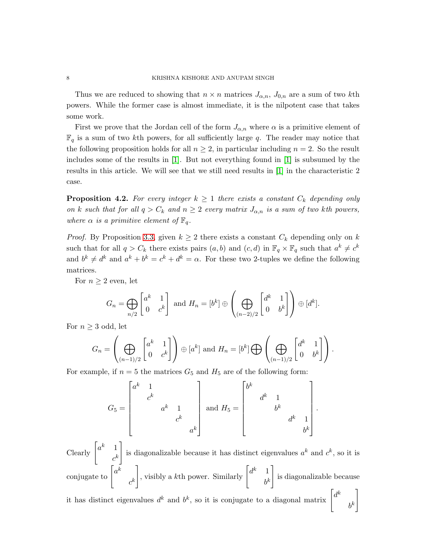Thus we are reduced to showing that  $n \times n$  matrices  $J_{\alpha,n}$ ,  $J_{0,n}$  are a sum of two kth powers. While the former case is almost immediate, it is the nilpotent case that takes some work.

First we prove that the Jordan cell of the form  $J_{\alpha,n}$  where  $\alpha$  is a primitive element of  $\mathbb{F}_q$  is a sum of two kth powers, for all sufficiently large q. The reader may notice that the following proposition holds for all  $n \geq 2$ , in particular including  $n = 2$ . So the result includes some of the results in  $[1]$ . But not everything found in  $[1]$  is subsumed by the results in this article. We will see that we still need results in [\[1\]](#page-14-2) in the characteristic 2 case.

<span id="page-7-0"></span>**Proposition 4.2.** For every integer  $k \geq 1$  there exists a constant  $C_k$  depending only on k such that for all  $q > C_k$  and  $n \geq 2$  every matrix  $J_{\alpha,n}$  is a sum of two kth powers, where  $\alpha$  is a primitive element of  $\mathbb{F}_q$ .

*Proof.* By Proposition [3.3,](#page-5-1) given  $k \geq 2$  there exists a constant  $C_k$  depending only on k such that for all  $q > C_k$  there exists pairs  $(a, b)$  and  $(c, d)$  in  $\mathbb{F}_q \times \mathbb{F}_q$  such that  $a^k \neq c^k$ and  $b^k \neq d^k$  and  $a^k + b^k = c^k + d^k = \alpha$ . For these two 2-tuples we define the following matrices.

For  $n \geq 2$  even, let

$$
G_n = \bigoplus_{n/2} \begin{bmatrix} a^k & 1 \\ 0 & c^k \end{bmatrix} \text{ and } H_n = [b^k] \oplus \left( \bigoplus_{(n-2)/2} \begin{bmatrix} d^k & 1 \\ 0 & b^k \end{bmatrix} \right) \oplus [d^k].
$$

For  $n \geq 3$  odd, let

$$
G_n = \left(\bigoplus_{(n-1)/2} \begin{bmatrix} a^k & 1 \\ 0 & c^k \end{bmatrix} \right) \oplus [a^k] \text{ and } H_n = [b^k] \bigoplus \left(\bigoplus_{(n-1)/2} \begin{bmatrix} d^k & 1 \\ 0 & b^k \end{bmatrix} \right).
$$

For example, if  $n = 5$  the matrices  $G_5$  and  $H_5$  are of the following form:

$$
G_5 = \begin{bmatrix} a^k & 1 & & & \\ & c^k & & & \\ & & a^k & 1 & \\ & & & c^k & \\ & & & & a^k \end{bmatrix} \text{ and } H_5 = \begin{bmatrix} b^k & & & & \\ & d^k & 1 & & \\ & & b^k & & \\ & & & d^k & 1 \\ & & & & b^k \end{bmatrix}
$$

.

Clearly  $\begin{bmatrix} a^k & 1 \\ & k & 1 \end{bmatrix}$  $c^k$ 1 is diagonalizable because it has distinct eigenvalues  $a^k$  and  $c^k$ , so it is conjugate to  $\left[a^k\right]$  $c^k$ , visibly a kth power. Similarly  $\begin{bmatrix} d^k & 1 \\ 1 & 1 \end{bmatrix}$  $b^k$ 1 is diagonalizable because it has distinct eigenvalues  $d^k$  and  $b^k$ , so it is conjugate to a diagonal matrix  $\begin{bmatrix} d^k \end{bmatrix}$  $b^k$ 1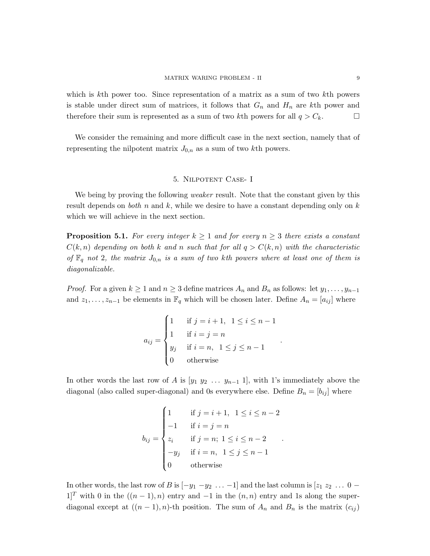.

.

which is kth power too. Since representation of a matrix as a sum of two kth powers is stable under direct sum of matrices, it follows that  $G_n$  and  $H_n$  are kth power and therefore their sum is represented as a sum of two kth powers for all  $q > C_k$ .

We consider the remaining and more difficult case in the next section, namely that of representing the nilpotent matrix  $J_{0,n}$  as a sum of two kth powers.

## 5. Nilpotent Case- I

<span id="page-8-0"></span>We being by proving the following *weaker* result. Note that the constant given by this result depends on *both* n and k, while we desire to have a constant depending only on  $k$ which we will achieve in the next section.

<span id="page-8-1"></span>**Proposition 5.1.** For every integer  $k \geq 1$  and for every  $n \geq 3$  there exists a constant  $C(k, n)$  depending on both k and n such that for all  $q > C(k, n)$  with the characteristic of  $\mathbb{F}_q$  not 2, the matrix  $J_{0,n}$  is a sum of two kth powers where at least one of them is diagonalizable.

*Proof.* For a given  $k \ge 1$  and  $n \ge 3$  define matrices  $A_n$  and  $B_n$  as follows: let  $y_1, \ldots, y_{n-1}$ and  $z_1, \ldots, z_{n-1}$  be elements in  $\mathbb{F}_q$  which will be chosen later. Define  $A_n = [a_{ij}]$  where

$$
a_{ij} = \begin{cases} 1 & \text{if } j = i + 1, \ 1 \le i \le n - 1 \\ 1 & \text{if } i = j = n \\ y_j & \text{if } i = n, \ 1 \le j \le n - 1 \\ 0 & \text{otherwise} \end{cases}
$$

In other words the last row of A is  $[y_1 \ y_2 \dots y_{n-1} \ 1]$ , with 1's immediately above the diagonal (also called super-diagonal) and 0s everywhere else. Define  $B_n = [b_{ij}]$  where

$$
b_{ij} = \begin{cases} 1 & \text{if } j = i + 1, \ 1 \le i \le n - 2 \\ -1 & \text{if } i = j = n \\ z_i & \text{if } j = n; \ 1 \le i \le n - 2 \\ -y_j & \text{if } i = n, \ 1 \le j \le n - 1 \\ 0 & \text{otherwise} \end{cases}
$$

In other words, the last row of B is  $[-y_1 - y_2 \dots -1]$  and the last column is  $[z_1 \ z_2 \ \dots \ 0 \ -1]$  $1$ <sup>T</sup> with 0 in the  $((n-1), n)$  entry and  $-1$  in the  $(n, n)$  entry and 1s along the superdiagonal except at  $((n-1), n)$ -th position. The sum of  $A_n$  and  $B_n$  is the matrix  $(c_{ij})$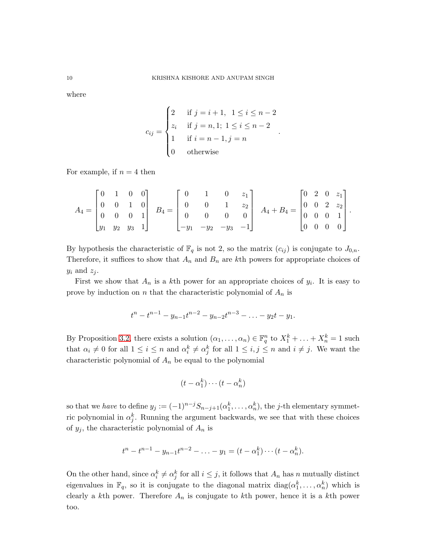where

$$
c_{ij} = \begin{cases} 2 & \text{if } j = i + 1, \ 1 \le i \le n - 2 \\ z_i & \text{if } j = n, 1; \ 1 \le i \le n - 2 \\ 1 & \text{if } i = n - 1, j = n \\ 0 & \text{otherwise} \end{cases}
$$

.

For example, if  $n = 4$  then

$$
A_4 = \begin{bmatrix} 0 & 1 & 0 & 0 \\ 0 & 0 & 1 & 0 \\ 0 & 0 & 0 & 1 \\ y_1 & y_2 & y_3 & 1 \end{bmatrix} \quad B_4 = \begin{bmatrix} 0 & 1 & 0 & z_1 \\ 0 & 0 & 1 & z_2 \\ 0 & 0 & 0 & 0 \\ -y_1 & -y_2 & -y_3 & -1 \end{bmatrix} \quad A_4 + B_4 = \begin{bmatrix} 0 & 2 & 0 & z_1 \\ 0 & 0 & 2 & z_2 \\ 0 & 0 & 0 & 1 \\ 0 & 0 & 0 & 0 \end{bmatrix}.
$$

By hypothesis the characteristic of  $\mathbb{F}_q$  is not 2, so the matrix  $(c_{ij})$  is conjugate to  $J_{0,n}$ . Therefore, it suffices to show that  $A_n$  and  $B_n$  are kth powers for appropriate choices of  $y_i$  and  $z_j$ .

First we show that  $A_n$  is a kth power for an appropriate choices of  $y_i$ . It is easy to prove by induction on n that the characteristic polynomial of  $A_n$  is

$$
t^{n} - t^{n-1} - y_{n-1}t^{n-2} - y_{n-2}t^{n-3} - \ldots - y_{2}t - y_{1}.
$$

By Proposition [3.2,](#page-4-2) there exists a solution  $(\alpha_1, \dots, \alpha_n) \in \mathbb{F}_q^n$  to  $X_1^k + \dots + X_n^k = 1$  such that  $\alpha_i \neq 0$  for all  $1 \leq i \leq n$  and  $\alpha_i^k \neq \alpha_j^k$  for all  $1 \leq i, j \leq n$  and  $i \neq j$ . We want the characteristic polynomial of  $A_n$  be equal to the polynomial

$$
(t-\alpha_1^k)\cdots(t-\alpha_n^k)
$$

so that we have to define  $y_j := (-1)^{n-j} S_{n-j+1}(\alpha_1^k, \dots, \alpha_n^k)$ , the *j*-th elementary symmetric polynomial in  $\alpha_j^k$ . Running the argument backwards, we see that with these choices of  $y_j$ , the characteristic polynomial of  $A_n$  is

$$
t^{n} - t^{n-1} - y_{n-1}t^{n-2} - \ldots - y_1 = (t - \alpha_1^k) \cdots (t - \alpha_n^k).
$$

On the other hand, since  $\alpha_i^k \neq \alpha_j^k$  for all  $i \leq j$ , it follows that  $A_n$  has n mutually distinct eigenvalues in  $\mathbb{F}_q$ , so it is conjugate to the diagonal matrix  $diag(\alpha_1^k, \ldots, \alpha_n^k)$  which is clearly a kth power. Therefore  $A_n$  is conjugate to kth power, hence it is a kth power too.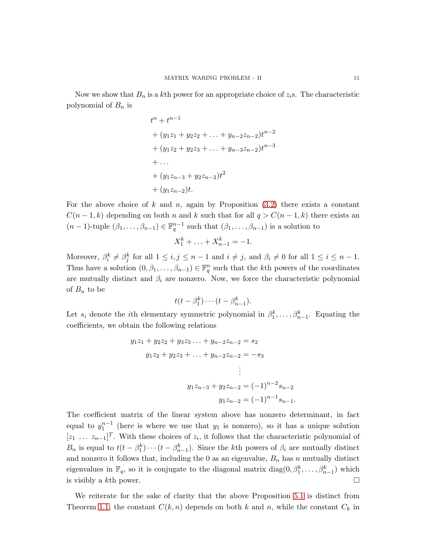Now we show that  $B_n$  is a kth power for an appropriate choice of  $z_i$ s. The characteristic polynomial of  $B_n$  is

$$
t^{n} + t^{n-1}
$$
  
+  $(y_1z_1 + y_2z_2 + \dots + y_{n-2}z_{n-2})t^{n-2}$   
+  $(y_1z_2 + y_2z_3 + \dots + y_{n-3}z_{n-2})t^{n-3}$   
+ ...  
+  $(y_1z_{n-3} + y_2z_{n-2})t^2$   
+  $(y_1z_{n-2})t$ .

For the above choice of k and n, again by Proposition  $(3.2)$  there exists a constant  $C(n-1,k)$  depending on both n and k such that for all  $q > C(n-1,k)$  there exists an  $(n-1)$ -tuple  $(\beta_1,\ldots,\beta_{n-1}) \in \mathbb{F}_q^{n-1}$  such that  $(\beta_1,\ldots,\beta_{n-1})$  is a solution to

$$
X_1^k + \ldots + X_{n-1}^k = -1.
$$

Moreover,  $\beta_i^k \neq \beta_j^k$  for all  $1 \leq i, j \leq n-1$  and  $i \neq j$ , and  $\beta_i \neq 0$  for all  $1 \leq i \leq n-1$ . Thus have a solution  $(0, \beta_1, \ldots, \beta_{n-1}) \in \mathbb{F}_q^n$  such that the kth powers of the coordinates are mutually distinct and  $\beta_i$  are nonzero. Now, we force the characteristic polynomial of  $B_n$  to be

$$
t(t-\beta_1^k)\cdots(t-\beta_{n-1}^k).
$$

Let  $s_i$  denote the *i*th elementary symmetric polynomial in  $\beta_1^k, \ldots, \beta_{n-1}^k$ . Equating the coefficients, we obtain the following relations

$$
y_1z_1 + y_2z_2 + y_3z_3 \dots + y_{n-2}z_{n-2} = s_2
$$
  
\n
$$
y_1z_2 + y_2z_3 + \dots + y_{n-2}z_{n-2} = -s_3
$$
  
\n
$$
\vdots
$$
  
\n
$$
y_1z_{n-3} + y_2z_{n-2} = (-1)^{n-2}s_{n-2}
$$
  
\n
$$
y_1z_{n-2} = (-1)^{n-1}s_{n-1}.
$$

The coefficient matrix of the linear system above has nonzero determinant, in fact equal to  $y_1^{n-1}$  (here is where we use that  $y_1$  is nonzero), so it has a unique solution  $[z_1 \ldots z_{n-1}]^T$ . With these choices of  $z_i$ , it follows that the characteristic polynomial of  $B_n$  is equal to  $t(t - \beta_1^k) \cdots (t - \beta_{n-1}^k)$ . Since the kth powers of  $\beta_i$  are mutually distinct and nonzero it follows that, including the 0 as an eigenvalue,  $B_n$  has n mutually distinct eigenvalues in  $\mathbb{F}_q$ , so it is conjugate to the diagonal matrix  $diag(0, \beta_1^k, \ldots, \beta_{n-1}^k)$  which is visibly a kth power.  $\square$ 

We reiterate for the sake of clarity that the above Proposition [5.1](#page-8-1) is distinct from Theorem [1.1;](#page-0-0) the constant  $C(k, n)$  depends on both k and n, while the constant  $C_k$  in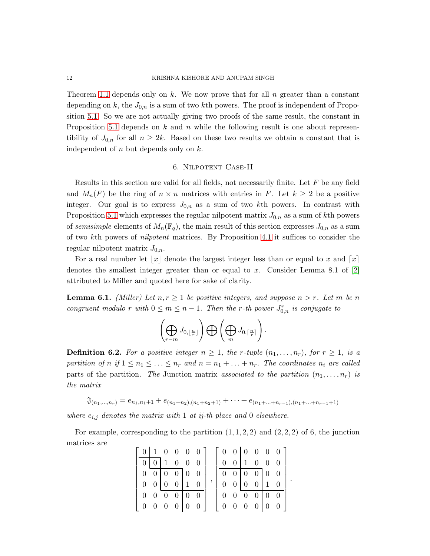Theorem [1.1](#page-0-0) depends only on k. We now prove that for all  $n$  greater than a constant depending on k, the  $J_{0,n}$  is a sum of two kth powers. The proof is independent of Proposition [5.1.](#page-8-1) So we are not actually giving two proofs of the same result, the constant in Proposition [5.1](#page-8-1) depends on k and n while the following result is one about representibility of  $J_{0,n}$  for all  $n \geq 2k$ . Based on these two results we obtain a constant that is independent of  $n$  but depends only on  $k$ .

## 6. Nilpotent Case-II

<span id="page-11-0"></span>Results in this section are valid for all fields, not necessarily finite. Let F be any field and  $M_n(F)$  be the ring of  $n \times n$  matrices with entries in F. Let  $k \geq 2$  be a positive integer. Our goal is to express  $J_{0,n}$  as a sum of two kth powers. In contrast with Proposition [5.1](#page-8-1) which expresses the regular nilpotent matrix  $J_{0,n}$  as a sum of kth powers of semisimple elements of  $M_n(\mathbb{F}_q)$ , the main result of this section expresses  $J_{0,n}$  as a sum of two kth powers of nilpotent matrices. By Proposition [4.1](#page-6-0) it suffices to consider the regular nilpotent matrix  $J_{0,n}$ .

For a real number let  $|x|$  denote the largest integer less than or equal to x and  $\lceil x \rceil$ denotes the smallest integer greater than or equal to x. Consider Lemma 8.1 of  $[2]$ attributed to Miller and quoted here for sake of clarity.

<span id="page-11-1"></span>**Lemma 6.1.** (Miller) Let  $n, r \geq 1$  be positive integers, and suppose  $n > r$ . Let m be n congruent modulo r with  $0 \le m \le n - 1$ . Then the r-th power  $J_{0,n}^r$  is conjugate to

$$
\left(\bigoplus_{r=m} J_{0,\lfloor \frac{n}{r} \rfloor}\right) \bigoplus \left(\bigoplus_m J_{0,\lceil \frac{n}{r} \rceil}\right).
$$

**Definition 6.2.** For a positive integer  $n \geq 1$ , the r-tuple  $(n_1, \ldots, n_r)$ , for  $r \geq 1$ , is a partition of n if  $1 \leq n_1 \leq \ldots \leq n_r$  and  $n = n_1 + \ldots + n_r$ . The coordinates  $n_i$  are called parts of the partition. The Junction matrix associated to the partition  $(n_1, \ldots, n_r)$  is the matrix

 $\mathfrak{J}_{(n_1,...,n_r)} = e_{n_1,n_1+1} + e_{(n_1+n_2),(n_1+n_2+1)} + \cdots + e_{(n_1+...+n_{r-1}),(n_1+...+n_{r-1}+1)}$ 

where  $e_{i,j}$  denotes the matrix with 1 at ij-th place and 0 elsewhere.

For example, corresponding to the partition  $(1, 1, 2, 2)$  and  $(2, 2, 2)$  of 6, the junction matrices are

|  |                                           |  | $0 \mid 1 \quad 0 \quad 0 \quad 0 \quad 0 \mid$ |  | $\begin{array}{c cccc}\n0 & 0 & 0 & 0 & 0\n\end{array}$ |  |                                             |  |  |
|--|-------------------------------------------|--|-------------------------------------------------|--|---------------------------------------------------------|--|---------------------------------------------|--|--|
|  | $0 \mid 0 \mid 1 \quad 0 \quad 0 \quad 0$ |  |                                                 |  |                                                         |  | $0 \t0 \t1 \t0 \t0 \t0$                     |  |  |
|  | $0 \t0 \t0 \t0 \t0 \t0$                   |  |                                                 |  | $0 \t0 \t0 \t0 \t0 \t0$                                 |  |                                             |  |  |
|  | $0 \t0 \t0 \t0 \t1 \t0$                   |  |                                                 |  |                                                         |  | $0 \quad 0 \quad 0 \quad 0 \quad 1 \quad 0$ |  |  |
|  | $0 \t0 \t0 \t0 \t0 \t0$                   |  |                                                 |  |                                                         |  | $0 \t 0 \t 0 \t 0 \t 0 \t 0$                |  |  |
|  |                                           |  | $0 \t0 \t0 \t0 \t0 \t0$                         |  | 0 0 0 0 0 0                                             |  |                                             |  |  |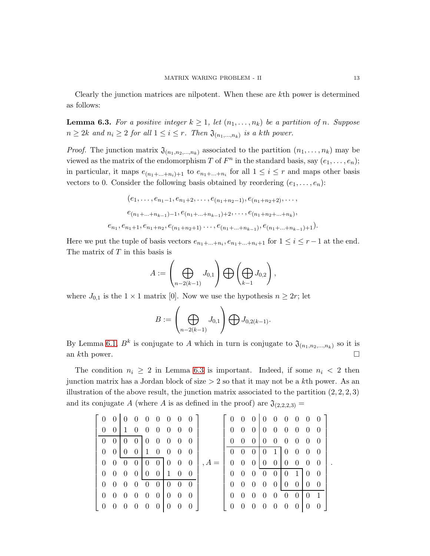Clearly the junction matrices are nilpotent. When these are kth power is determined as follows:

<span id="page-12-0"></span>**Lemma 6.3.** For a positive integer  $k \geq 1$ , let  $(n_1, \ldots, n_k)$  be a partition of n. Suppose  $n \geq 2k$  and  $n_i \geq 2$  for all  $1 \leq i \leq r$ . Then  $\mathfrak{J}_{(n_1,...,n_k)}$  is a kth power.

*Proof.* The junction matrix  $\mathfrak{J}_{(n_1,n_2,...,n_k)}$  associated to the partition  $(n_1,...,n_k)$  may be viewed as the matrix of the endomorphism T of  $F^n$  in the standard basis, say  $(e_1, \ldots, e_n)$ ; in particular, it maps  $e_{(n_1+\ldots+n_i)+1}$  to  $e_{n_1+\ldots+n_i}$  for all  $1 \leq i \leq r$  and maps other basis vectors to 0. Consider the following basis obtained by reordering  $(e_1, \ldots, e_n)$ :

$$
(e_1, \ldots, e_{n_1-1}, e_{n_1+2}, \ldots, e_{(n_1+n_2-1)}, e_{(n_1+n_2+2)}, \ldots, \ne_{(n_1+\ldots+n_{k-1})-1}, e_{(n_1+\ldots+n_{k-1})+2}, \ldots, e_{(n_1+n_2+\ldots+n_k)}, \ne_{n_1}, e_{n_1+1}, e_{n_1+n_2}, e_{(n_1+n_2+1)}, \ldots, e_{(n_1+\ldots+n_{k-1})}, e_{(n_1+\ldots+n_{k-1})+1}).
$$

Here we put the tuple of basis vectors  $e_{n_1+\dots+n_i}$ ,  $e_{n_1+\dots+n_i+1}$  for  $1 \le i \le r-1$  at the end. The matrix of  $T$  in this basis is

$$
A:=\left(\bigoplus_{n-2(k-1)}J_{0,1}\right)\bigoplus \left(\bigoplus_{k-1}J_{0,2}\right),
$$

where  $J_{0,1}$  is the  $1 \times 1$  matrix [0]. Now we use the hypothesis  $n \geq 2r$ ; let

$$
B:=\left(\bigoplus_{n-2(k-1)}J_{0,1}\right)\bigoplus J_{0,2(k-1)}.
$$

By Lemma [6.1,](#page-11-1)  $B^k$  is conjugate to A which in turn is conjugate to  $\mathfrak{J}_{(n_1,n_2,...,n_k)}$  so it is an kth power.  $\Box$ 

The condition  $n_i \geq 2$  in Lemma [6.3](#page-12-0) is important. Indeed, if some  $n_i < 2$  then junction matrix has a Jordan block of size  $> 2$  so that it may not be a kth power. As an illustration of the above result, the junction matrix associated to the partition  $(2, 2, 2, 3)$ and its conjugate A (where A is as defined in the proof) are  $\mathfrak{J}_{(2,2,2,3)} =$ 

| $\begin{bmatrix} 0 & 0 & 0 & 0 & 0 & 0 & 0 & 0 \end{bmatrix}$ |                                     |  |                |         | $\begin{bmatrix} 0 & 0 & 0 & 0 & 0 & 0 & 0 & 0 & 0 \end{bmatrix}$ |                                     |  |  |                                       |                |
|---------------------------------------------------------------|-------------------------------------|--|----------------|---------|-------------------------------------------------------------------|-------------------------------------|--|--|---------------------------------------|----------------|
|                                                               | $0 \t0 \t1 \t0 \t0 \t0 \t0 \t0 \t0$ |  |                |         |                                                                   | $0 \t0 \t0 \t0 \t0 \t0 \t0 \t0 \t0$ |  |  |                                       |                |
|                                                               | $0 \t0 \t0 \t0 \t0 \t0 \t0 \t0 \t0$ |  |                |         |                                                                   | $0 \t0 \t0 \t0 \t0 \t0 \t0 \t0 \t0$ |  |  |                                       |                |
|                                                               | $0 \t0 \t0 \t0 \t1 \t0 \t0 \t0$     |  |                |         |                                                                   | $0 \t0 \t0 \t1 \t0 \t0 \t0 \t0$     |  |  |                                       |                |
|                                                               | $0 \t0 \t0 \t0 \t0 \t0 \t0 \t0 \t0$ |  |                | $, A =$ |                                                                   | $0 \t0 \t0 \t0 \t0 \t0 \t0 \t0 \t0$ |  |  |                                       |                |
|                                                               | $0 \t0 \t0 \t0 \t0 \t0 \t1 \t0 \t0$ |  |                |         |                                                                   | $0 \t0 \t0 \t0 \t0 \t1 \t0 \t0$     |  |  |                                       |                |
|                                                               | $0 \t0 \t0 \t0 \t0 \t0 \t0 \t0 \t0$ |  |                |         |                                                                   | $0 \t0 \t0 \t0 \t0 \t0 \t0 \t0 \t0$ |  |  |                                       |                |
|                                                               | $0 \t0 \t0 \t0 \t0 \t0 \t0 \t0 \t0$ |  |                |         |                                                                   | $0 \t0 \t0 \t0 \t0 \t0 \t0$         |  |  | $\begin{bmatrix} 0 & 1 \end{bmatrix}$ |                |
| $0 \t 0 \t 0 \t 0 \t 0 \t 0 0$                                |                                     |  | $\overline{0}$ |         | $0 \t0 \t0 \t0 \t0 \t0 \t0$                                       |                                     |  |  | $\overline{0}$                        | $\overline{0}$ |

.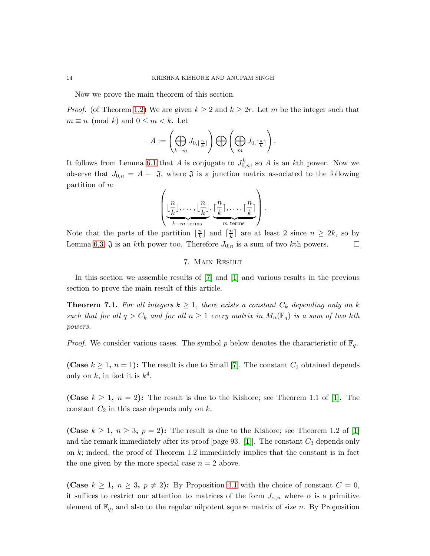Now we prove the main theorem of this section.

*Proof.* (of Theorem [1.2\)](#page-1-0) We are given  $k \geq 2$  and  $k \geq 2r$ . Let m be the integer such that  $m \equiv n \pmod{k}$  and  $0 \leq m < k$ . Let

$$
A:=\left(\bigoplus_{k-m}J_{0,\lfloor\frac{n}{k}\rfloor}\right)\bigoplus \left(\bigoplus_m J_{0,\lceil\frac{n}{k}\rceil}\right).
$$

It follows from Lemma [6.1](#page-11-1) that A is conjugate to  $J_{0,n}^k$ , so A is an kth power. Now we observe that  $J_{0,n} = A + \mathfrak{J}$ , where  $\mathfrak{J}$  is a junction matrix associated to the following partition of n:

$$
\left(\underbrace{\lfloor \frac{n}{k} \rfloor, \ldots, \lfloor \frac{n}{k} \rfloor}_{k-m \text{ terms}}, \underbrace{\lceil \frac{n}{k} \rceil, \ldots, \lceil \frac{n}{k} \rceil}_{m \text{ terms}}\right).
$$

<span id="page-13-0"></span>Note that the parts of the partition  $\lfloor \frac{n}{k} \rfloor$  $\frac{n}{k}$  and  $\lceil \frac{n}{k} \rceil$  $\frac{n}{k}$  are at least 2 since  $n \geq 2k$ , so by Lemma [6.3,](#page-12-0)  $\mathfrak{J}$  is an kth power too. Therefore  $J_{0,n}$  is a sum of two kth powers.

# 7. Main Result

In this section we assemble results of [\[7\]](#page-14-5) and [\[1\]](#page-14-2) and various results in the previous section to prove the main result of this article.

**Theorem 7.1.** For all integers  $k \geq 1$ , there exists a constant  $C_k$  depending only on k such that for all  $q > C_k$  and for all  $n \geq 1$  every matrix in  $M_n(\mathbb{F}_q)$  is a sum of two kth powers.

*Proof.* We consider various cases. The symbol p below denotes the characteristic of  $\mathbb{F}_q$ .

(Case  $k \geq 1$ ,  $n = 1$ ): The result is due to Small [\[7\]](#page-14-5). The constant  $C_1$  obtained depends only on  $k$ , in fact it is  $k^4$ .

(Case  $k \geq 1$ ,  $n = 2$ ): The result is due to the Kishore; see Theorem 1.1 of [\[1\]](#page-14-2). The constant  $C_2$  in this case depends only on  $k$ .

(Case  $k \geq 1, n \geq 3, p = 2$ ): The result is due to the Kishore; see Theorem 1.2 of [\[1\]](#page-14-2) and the remark immediately after its proof [page 93. [\[1\]](#page-14-2)]. The constant  $C_3$  depends only on  $k$ ; indeed, the proof of Theorem 1.2 immediately implies that the constant is in fact the one given by the more special case  $n = 2$  above.

(Case  $k \geq 1$ ,  $n \geq 3$ ,  $p \neq 2$ ): By Proposition [4.1](#page-6-0) with the choice of constant  $C = 0$ , it suffices to restrict our attention to matrices of the form  $J_{\alpha,n}$  where  $\alpha$  is a primitive element of  $\mathbb{F}_q$ , and also to the regular nilpotent square matrix of size n. By Proposition